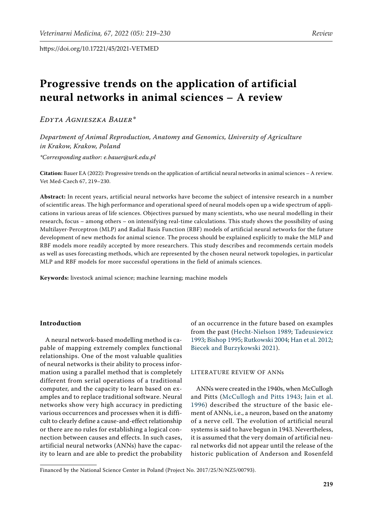# **Progressive trends on the application of artificial neural networks in animal sciences – A review**

*Edyta Agnieszka Bauer\**

*Department of Animal Reproduction, Anatomy and Genomics, University of Agriculture in Krakow, Krakow, Poland \*Corresponding author: e.bauer@urk.edu.pl*

**Citation:** Bauer EA (2022): Progressive trends on the application of artificial neural networks in animal sciences – A review. Vet Med-Czech 67, 219–230.

**Abstract:** In recent years, artificial neural networks have become the subject of intensive research in a number of scientific areas. The high performance and operational speed of neural models open up a wide spectrum of applications in various areas of life sciences. Objectives pursued by many scientists, who use neural modelling in their research, focus – among others – on intensifying real-time calculations. This study shows the possibility of using Multilayer-Perceptron (MLP) and Radial Basis Function (RBF) models of artificial neural networks for the future development of new methods for animal science. The process should be explained explicitly to make the MLP and RBF models more readily accepted by more researchers. This study describes and recommends certain models as well as uses forecasting methods, which are represented by the chosen neural network topologies, in particular MLP and RBF models for more successful operations in the field of animals sciences.

**Keywords:** livestock animal science; machine learning; machine models

# **Introduction**

A neural network-based modelling method is capable of mapping extremely complex functional relationships. One of the most valuable qualities of neural networks is their ability to process information using a parallel method that is completely different from serial operations of a traditional computer, and the capacity to learn based on examples and to replace traditional software. Neural networks show very high accuracy in predicting various occurrences and processes when it is difficult to clearly define a cause-and-effect relationship or there are no rules for establishing a logical connection between causes and effects. In such cases, artificial neural networks (ANNs) have the capacity to learn and are able to predict the probability

of an occurrence in the future based on examples from the past ([Hecht-Nielson 198](#page-10-0)9; [Tadeusiewicz](#page-11-0) [1993](#page-11-0); [Bishop 1995;](#page-9-0) [Rutkowski 2004;](#page-10-1) [Han et al. 2012](#page-10-2); [Biecek and Burzykowski 2021](#page-9-1)).

# LITERATURE REVIEW OF ANNs

ANNs were created in the 1940s, when McCullogh and Pitts ([McCullogh and Pitts 1943](#page-10-3); [Jain et al.](#page-10-4) [1996\)](#page-10-4) described the structure of the basic element of ANNs, i.e., a neuron, based on the anatomy of a nerve cell. The evolution of artificial neural systems is said to have begun in 1943. Nevertheless, it is assumed that the very domain of artificial neural networks did not appear until the release of the historic publication of Anderson and Rosenfeld

Financed by the National Science Center in Poland (Project No. 2017/25/N/NZ5/00793).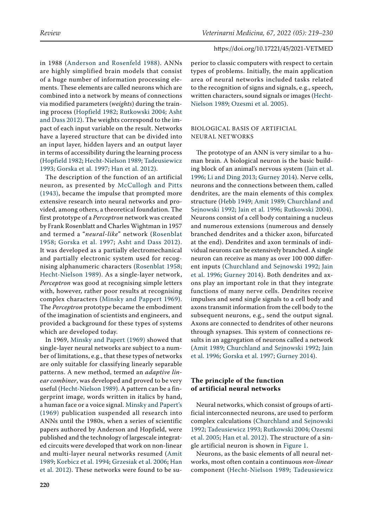in 1988 ([Anderson and Rosenfeld 1988\)](#page-9-2). ANNs are highly simplified brain models that consist of a huge number of information processing elements. These elements are called neurons which are combined into a network by means of connections via modified parameters (*weights*) during the training process [\(Hopfield](#page-10-5) 1982; [Rutkowski 2004;](#page-10-1) [Asht](#page-9-3)  [and Dass 2012](#page-9-3)). The weights correspond to the impact of each input variable on the result. Networks have a layered structure that can be divided into an input layer, hidden layers and an output layer in terms of accessibility during the learning process [\(Hopfield](#page-10-5) 1982; [Hecht-Nielson 198](#page-10-0)9; [Tadeusiewicz](#page-11-0)  [1993;](#page-11-0) [Gorska et al. 1997](#page-9-4); [Han et al. 2012\)](#page-10-2).

The description of the function of an artificial neuron, as presented by [McCullogh and Pitts](#page-10-3)  [\(1943\),](#page-10-3) became the impulse that prompted more extensive research into neural networks and provided, among others, a theoretical foundation. The first prototype of a *Perceptron* network was created by Frank Rosenblatt and Charles Wightman in 1957 and termed a "*neural-like*" network ([Rosenblat](#page-10-6)  [19](#page-10-6)58; [Gorska et al. 1997;](#page-9-4) [Asht and Dass 2012](#page-9-3)). It was developed as a partially electromechanical and partially electronic system used for recognising alphanumeric characters ([Rosenblat 19](#page-10-6)58; [Hecht-Nielson 198](#page-10-0)9). As a single-layer network, *Perceptron* was good at recognising simple letters with, however, rather poor results at recognising complex characters ([Minsky and Pappert 1969](#page-10-7)). The *Perceptron* prototype became the embodiment of the imagination of scientists and engineers, and provided a background for these types of systems which are developed today.

In 1969, [Minsky and Papert \(1969\)](#page-10-7) showed that single-layer neural networks are subject to a number of limitations, e.g., that these types of networks are only suitable for classifying linearly separable patterns. A new method, termed an *adaptive linear combiner*, was developed and proved to be very useful [\(Hecht-Nielson](#page-10-0) 1989). A pattern can be a fingerprint image, words written in italics by hand, a human face or a voice signal. [Minsky and Papert's](#page-10-7)  [\(1969\)](#page-10-7) publication suspended all research into ANNs until the 1980s, when a series of scientific papers authored by Anderson and Hopfield, were published and the technology of largescale integrated circuits were developed that work on non-linear and multi-layer neural networks resumed ([Amit](#page-9-5)  [1989;](#page-9-5) [Korbicz et al. 1994](#page-10-8); [Grzesiak et al. 2006;](#page-9-6) [Han](#page-10-2)  [et al. 2012\)](#page-10-2). These networks were found to be superior to classic computers with respect to certain types of problems. Initially, the main application area of neural networks included tasks related to the recognition of signs and signals, e.g., speech, written characters, sound signals or images ([Hecht-](#page-10-0)[Nielson](#page-10-0) 1989; [Ozesmi et al. 2005\)](#page-10-9).

## BIOLOGICAL BASIS OF ARTIFICIAL NEURAL NETWORKS

The prototype of an ANN is very similar to a human brain. A biological neuron is the basic building block of an animal's nervous system ([Jain et al.](#page-10-4) [1996](#page-10-4); [Li and Ding 2013;](#page-10-10) [Gurney 2014\)](#page-9-7). Nerve cells, neurons and the connections between them, called dendrites, are the main elements of this complex structure [\(Hebb 1949;](#page-10-11) [Amit 1989;](#page-9-5) [Churchland and](#page-9-8) [Sejnowski 1992;](#page-9-8) [Jain et al. 1996;](#page-10-4) [Rutkowski 2004\)](#page-10-1). Neurons consist of a cell body containing a nucleus and numerous extensions (numerous and densely branched dendrites and a thicker axon, bifurcated at the end). Dendrites and axon terminals of individual neurons can be extensively branched. A single neuron can receive as many as over 100 000 different inputs ([Churchland and Sejnowski 1992](#page-9-8); [Jain](#page-10-4) [et al. 1996;](#page-10-4) [Gurney 2014\)](#page-9-7). Both dendrites and axons play an important role in that they integrate functions of many nerve cells. Dendrites receive impulses and send single signals to a cell body and axons transmit information from the cell body to the subsequent neurons, e.g., send the output signal. Axons are connected to dendrites of other neurons through synapses. This system of connections results in an aggregation of neurons called a network [\(Amit 1989](#page-9-5); [Churchland and Sejnowski 1992;](#page-9-8) [Jain](#page-10-4) [et al. 1996;](#page-10-4) [Gorska et al. 1997;](#page-9-4) [Gurney 2014](#page-9-7)).

# **The principle of the function of artificial neural networks**

Neural networks, which consist of groups of artificial interconnected neurons, are used to perform complex calculations ([Churchland and Sejnowski](#page-9-8) [1992;](#page-9-8) [Tadeusiewicz 1993;](#page-11-0) [Rutkowski 2004](#page-10-1); [Ozesmi](#page-10-9) [et al. 2005;](#page-10-9) [Han et al. 2012](#page-10-2)). The structure of a single artificial neuron is shown in [Figure 1.](#page-2-0)

Neurons, as the basic elements of all neural networks, most often contain a continuous *non-linear* component ([Hecht-Nielson](#page-10-0) 1989; [Tadeusiewicz](#page-11-0)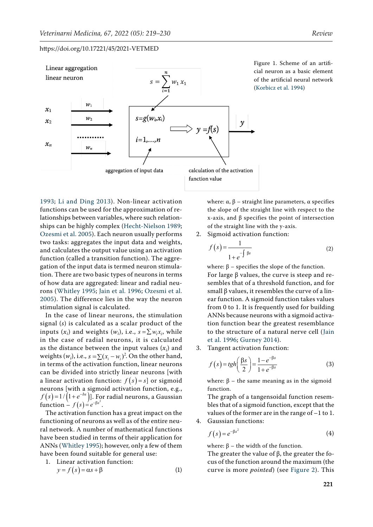<span id="page-2-0"></span>

Figure 1. Scheme of an artificial neuron as a basic element of the artificial neural network ([Korbicz et al. 1994\)](#page-10-8)

[1993;](#page-11-0) [Li and Ding 2013\)](#page-10-10). Non-linear activation functions can be used for the approximation of relationships between variables, where such relationships can be highly complex ([Hecht-Nielson 1](#page-10-0)989; [Ozesmi et al. 2005\)](#page-10-9). Each neuron usually performs two tasks: aggregates the input data and weights, and calculates the output value using an activation function (called a transition function). The aggregation of the input data is termed neuron stimulation. There are two basic types of neurons in terms of how data are aggregated: linear and radial neurons ([Whitley 1995;](#page-11-1) [Jain et al. 1996;](#page-10-4) [Ozesmi et al.](#page-10-9)  [2005](#page-10-9)). The difference lies in the way the neuron stimulation signal is calculated.

In the case of linear neurons, the stimulation signal (*s*) is calculated as a scalar product of the inputs  $(x_i)$  and weights  $(w_i)$ , i.e.,  $s = \sum w_i x_i$ , while in the case of radial neurons, it is calculated as the distance between the input values  $(x_i)$  and weights  $(w_i)$ , i.e.,  $s = \sum (x_i - w_i)^2$ . On the other hand, in terms of the activation function, linear neurons can be divided into strictly linear neurons [with a linear activation function:  $f(s) = s$  or sigmoid neurons [with a sigmoid activation function, e.g.,  $f(s)$ =1/ $\left(1+e^{-bs}\right)$ ]. For radial neurons, a Gaussian function  $\int f(s) \, ds = e^{-\beta s^2}$ .

The activation function has a great impact on the functioning of neurons as well as of the entire neural network. A number of mathematical functions have been studied in terms of their application for ANNs ([Whitley 1995\)](#page-11-1); however, only a few of them have been found suitable for general use:

1. Linear activation function:  

$$
v = f(s) = \alpha s + \beta
$$
 (1)

where:  $\alpha$ ,  $\beta$  – straight line parameters,  $\alpha$  specifies the slope of the straight line with respect to the x-axis, and β specifies the point of intersection of the straight line with the y-axis.

2. Sigmoid activation function:

$$
f(s) = \frac{1}{1 + e^{-\int \beta s}}\tag{2}
$$

where:  $β$  – specifies the slope of the function. For large β values, the curve is steep and resembles that of a threshold function, and for small β values, it resembles the curve of a linear function. A sigmoid function takes values from 0 to 1. It is frequently used for building ANNs because neurons with a sigmoid activation function bear the greatest resemblance to the structure of a natural nerve cell ([Jain](#page-10-4) [et al. 1996](#page-10-4); [Gurney 2014\)](#page-9-7).

3. Tangent activation function:

$$
f(s) = tgh\left(\frac{\beta s}{2}\right) = \frac{1 - e^{-\beta s}}{1 + e^{-\beta s}}
$$
 (3)

where:  $\beta$  – the same meaning as in the sigmoid function.

The graph of a tangensoidal function resembles that of a sigmoid function, except that the values of the former are in the range of –1 to 1. 4. Gaussian functions:

$$
f(s) = e^{-\beta s^2} \tag{4}
$$

where:  $β$  – the width of the function.

The greater the value of  $β$ , the greater the focus of the function around the maximum (the curve is more *pointed*) (see [Figure 2\)](#page-3-0). This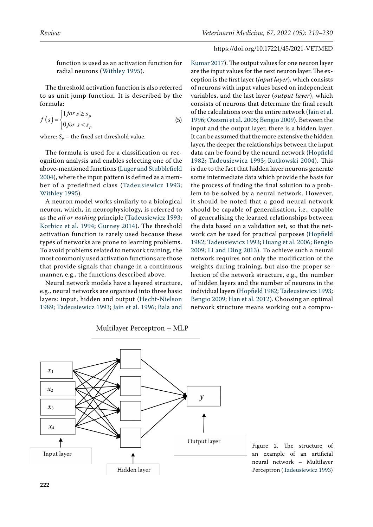function is used as an activation function for radial neurons ([Withley 1995](#page-11-1)).

The threshold activation function is also referred to as unit jump function. It is described by the formula:

$$
f(s) = \begin{cases} 1 \text{ for } s \ge s_p \\ 0 \text{ for } s < s_p \end{cases} \tag{5}
$$

where:  $S_p$  – the fixed set threshold value.

The formula is used for a classification or recognition analysis and enables selecting one of the above-mentioned functions [\(Luger and Stubblefield](#page-10-12)  [2004](#page-10-12)), where the input pattern is defined as a member of a predefined class ([Tadeusiewicz 1993](#page-11-0); [Withley 1995\)](#page-11-1).

A neuron model works similarly to a biological neuron, which, in neurophysiology, is referred to as the *all or nothing* principle ([Tadeusiewicz 1993](#page-11-0); [Korbicz et al. 1994;](#page-10-8) [Gurney 2014](#page-9-7)). The threshold activation function is rarely used because these types of networks are prone to learning problems. To avoid problems related to network training, the most commonly used activation functions are those that provide signals that change in a continuous manner, e.g., the functions described above.

Neural network models have a layered structure, e.g., neural networks are organised into three basic layers: input, hidden and output ([Hecht-Nielson](#page-10-0)  1989; [Tadeusiewicz 1993](#page-11-0); [Jain et al. 1996;](#page-10-4) [Bala and](#page-9-9) 

[Kumar 2017\)](#page-9-9). The output values for one neuron layer are the input values for the next neuron layer. The exception is the first layer (*input layer*), which consists of neurons with input values based on independent variables, and the last layer (*output layer*), which consists of neurons that determine the final result of the calculations over the entire network ([Jain et al.](#page-10-4) [1996](#page-10-4); [Ozesmi et al. 2005](#page-10-9); [Bengio 2009](#page-9-10)). Between the input and the output layer, there is a hidden layer. It can be assumed that the more extensive the hidden layer, the deeper the relationships between the input data can be found by the neural network ([Hopfield](#page-10-5) [1982](#page-10-5); [Tadeusiewicz 1993;](#page-11-0) [Rutkowski 2004](#page-10-1)). This is due to the fact that hidden layer neurons generate some intermediate data which provide the basis for the process of finding the final solution to a problem to be solved by a neural network. However, it should be noted that a good neural network should be capable of generalisation, i.e., capable of generalising the learned relationships between the data based on a validation set, so that the network can be used for practical purposes ([Hopfield](#page-10-5) [1982](#page-10-5); [Tadeusiewicz 1993;](#page-11-0) [Huang et al. 2006;](#page-10-13) [Bengio](#page-9-10) [2009](#page-9-10); [Li and Ding 2013](#page-10-10)). To achieve such a neural network requires not only the modification of the weights during training, but also the proper selection of the network structure, e.g., the number of hidden layers and the number of neurons in the individual layers [\(Hopfield 198](#page-10-5)2; [Tadeusiewicz 1993](#page-11-0); [Bengio 2009;](#page-9-10) [Han et al. 2012](#page-10-2)). Choosing an optimal network structure means working out a compro-

<span id="page-3-0"></span>

Figure 2. The structure of an example of an artificial neural network – Multilayer Perceptron ([Tadeusiewicz 1993](#page-11-0))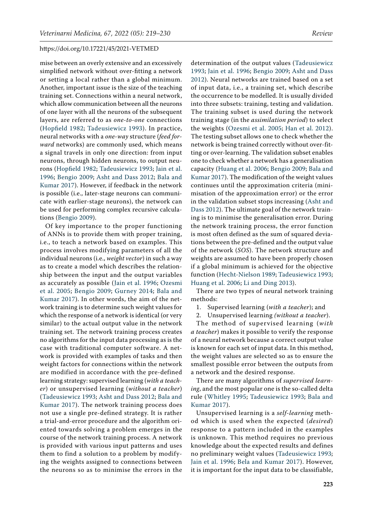mise between an overly extensive and an excessively simplified network without over-fitting a network or setting a local rather than a global minimum. Another, important issue is the size of the teaching training set. Connections within a neural network, which allow communication between all the neurons of one layer with all the neurons of the subsequent layers, are referred to as *one-to-one* connections ([Hopfield 1982](#page-10-5); [Tadeusiewicz 1993\)](#page-11-0). In practice, neural networks with a *one-way* structure (*feed forward* networks) are commonly used, which means a signal travels in only one direction: from input neurons, through hidden neurons, to output neurons ([Hopfield 198](#page-10-5)2; [Tadeusiewicz 1993;](#page-11-0) [Jain et al.](#page-10-4)  [1996;](#page-10-4) [Bengio 2009](#page-9-10); [Asht and Dass 2012](#page-9-3); [Bala and](#page-9-9)  [Kumar 2017](#page-9-9)). However, if feedback in the network is possible (i.e., later-stage neurons can communicate with earlier-stage neurons), the network can be used for performing complex recursive calculations [\(Bengio 2009](#page-9-10)).

Of key importance to the proper functioning of ANNs is to provide them with proper training, i.e., to teach a network based on examples. This process involves modifying parameters of all the individual neurons (i.e., *weight vector*) in such a way as to create a model which describes the relationship between the input and the output variables as accurately as possible ([Jain et al. 1996](#page-10-4); [Ozesmi](#page-10-9)  [et al. 2005;](#page-10-9) [Bengio 2009](#page-9-10); [Gurney 2014](#page-9-7); [Bala and](#page-9-9)  [Kumar 2017](#page-9-9)). In other words, the aim of the network training is to determine such weight values for which the response of a network is identical (or very similar) to the actual output value in the network training set. The network training process creates no algorithms for the input data processing as is the case with traditional computer software. A network is provided with examples of tasks and then weight factors for connections within the network are modified in accordance with the pre-defined learning strategy: supervised learning (*with a teacher*) or unsupervised learning (*without a teacher*) ([Tadeusiewicz 1993;](#page-11-0) [Asht and Dass 2012;](#page-9-3) [Bala and](#page-9-9)  [Kumar 2017](#page-9-9)). The network training process does not use a single pre-defined strategy. It is rather a trial-and-error procedure and the algorithm oriented towards solving a problem emerges in the course of the network training process. A network is provided with various input patterns and uses them to find a solution to a problem by modifying the weights assigned to connections between the neurons so as to minimise the errors in the

determination of the output values ([Tadeusiewicz](#page-11-0) [1993](#page-11-0); [Jain et al. 1996;](#page-10-4) [Bengio 2009;](#page-9-10) [Asht and Dass](#page-9-3) [2012](#page-9-3)). Neural networks are trained based on a set of input data, i.e., a training set, which describe the occurrence to be modelled. It is usually divided into three subsets: training, testing and validation. The training subset is used during the network training stage (in the *assimilation period*) to select the weights [\(Ozesmi et al. 2005;](#page-10-9) [Han et al. 2012](#page-10-2)). The testing subset allows one to check whether the network is being trained correctly without over-fitting or over-learning. The validation subset enables one to check whether a network has a generalisation capacity ([Huang et al. 2006;](#page-10-13) [Bengio 2009;](#page-9-10) [Bala and](#page-9-9) [Kumar 2017\)](#page-9-9). The modification of the weight values continues until the approximation criteria (minimisation of the approximation error) or the error in the validation subset stops increasing ([Asht and](#page-9-3) [Dass 2012\)](#page-9-3). The ultimate goal of the network training is to minimise the generalisation error. During the network training process, the error function is most often defined as the sum of squared deviations between the pre-defined and the output value of the network (*SOS*). The network structure and weights are assumed to have been properly chosen if a global minimum is achieved for the objective function [\(Hecht-Nielson 1](#page-10-0)989; [Tadeusiewicz 1993](#page-11-0); [Huang et al. 2006;](#page-10-13) [Li and Ding 2013\)](#page-10-10).

There are two types of neural network training methods:

- 1. Supervised learning (*with a teacher*); and
- 2. Unsupervised learning *(without a teacher*).

The method of supervised learning (*with a teacher*) makes it possible to verify the response of a neural network because a correct output value is known for each set of input data. In this method, the weight values are selected so as to ensure the smallest possible error between the outputs from a network and the desired response.

There are many algorithms of *supervised learning*, and the most popular one is the so-called delta rule ([Whitley 1995](#page-11-1); [Tadeusiewicz 1993;](#page-11-0) [Bala and](#page-9-9) [Kumar 2017](#page-9-9)).

Unsupervised learning is a *self-learning* method which is used when the expected (*desired*) response to a pattern included in the examples is unknown. This method requires no previous knowledge about the expected results and defines no preliminary weight values ([Tadeusiewicz 1993](#page-11-0); [Jain et al. 1996](#page-10-4); [Bela and Kumar 2017](#page-9-9)). However, it is important for the input data to be classifiable,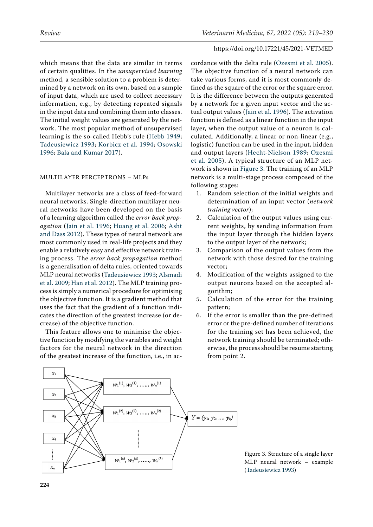which means that the data are similar in terms of certain qualities. In the *unsupervised learning* method, a sensible solution to a problem is determined by a network on its own, based on a sample of input data, which are used to collect necessary information, e.g., by detecting repeated signals in the input data and combining them into classes. The initial weight values are generated by the network. The most popular method of unsupervised learning is the so-called Hebb's rule ([Hebb 1949](#page-10-11); [Tadeusiewicz 1993](#page-11-0); [Korbicz et al. 1994](#page-10-8); [Osowski](#page-10-14)  [1996;](#page-10-14) [Bala and Kumar 2017](#page-9-9)).

#### MULTILAYER PERCEPTRONS – MLPs

Multilayer networks are a class of feed-forward neural networks. Single-direction multilayer neural networks have been developed on the basis of a learning algorithm called the *error back propagation* ([Jain et al. 1996](#page-10-4); [Huang et al. 2006](#page-10-13); [Asht](#page-9-3)  [and Dass 2012](#page-9-3)). These types of neural network are most commonly used in real-life projects and they enable a relatively easy and effective network training process. The *error back propagation* method is a generalisation of delta rules, oriented towards MLP neural networks ([Tadeusiewicz 1993;](#page-11-0) [Alsmadi](#page-9-11)  [et al. 2009](#page-9-11); [Han et al. 2012\)](#page-10-2). The MLP training process is simply a numerical procedure for optimising the objective function. It is a gradient method that uses the fact that the gradient of a function indicates the direction of the greatest increase (or decrease) of the objective function.

This feature allows one to minimise the objective function by modifying the variables and weight factors for the neural network in the direction of the greatest increase of the function, i.e., in ac-

cordance with the delta rule ([Ozesmi et al. 2005](#page-10-9)). The objective function of a neural network can take various forms, and it is most commonly defined as the square of the error or the square error. It is the difference between the outputs generated by a network for a given input vector and the actual output values ([Jain et al. 1996\)](#page-10-4). The activation function is defined as a linear function in the input layer, when the output value of a neuron is calculated. Additionally, a linear or non-linear (e.g., logistic) function can be used in the input, hidden and output layers [\(Hecht-Nielson](#page-10-0) 1989; [Ozesmi](#page-10-9) [et al. 2005\)](#page-10-9). A typical structure of an MLP network is shown in [Figure 3](#page-5-0). The training of an MLP network is a multi-stage process composed of the following stages:

- 1. Random selection of the initial weights and determination of an input vector (*network training vector*);
- 2. Calculation of the output values using current weights, by sending information from the input layer through the hidden layers to the output layer of the network;
- 3. Comparison of the output values from the network with those desired for the training vector;
- 4. Modification of the weights assigned to the output neurons based on the accepted algorithm;
- 5. Calculation of the error for the training pattern;
- 6. If the error is smaller than the pre-defined error or the pre-defined number of iterations for the training set has been achieved, the network training should be terminated; otherwise, the process should be resume starting from point 2.

<span id="page-5-0"></span>

Figure 3. Structure of a single layer MLP neural network – example ([Tadeusiewicz 1993\)](#page-11-0)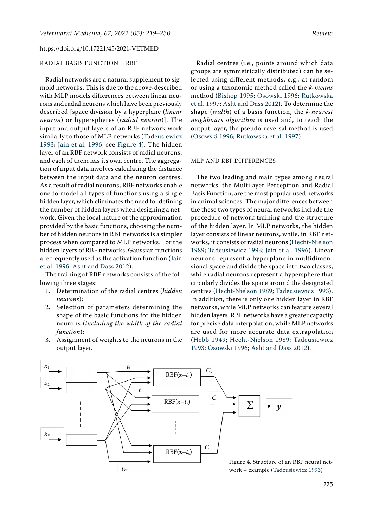## RADIAL BASIS FUNCTION – RBF

Radial networks are a natural supplement to sigmoid networks. This is due to the above-described with MLP models differences between linear neurons and radial neurons which have been previously described [space division by a hyperplane (*linear neuron*) or hyperspheres (*radial neuron*)]. The input and output layers of an RBF network work similarly to those of MLP networks ([Tadeusiewicz](#page-11-0)  [1993](#page-11-0); [Jain et al. 1996](#page-10-4); see [Figure 4](#page-6-0)). The hidden layer of an RBF network consists of radial neurons, and each of them has its own centre. The aggregation of input data involves calculating the distance between the input data and the neuron centres. As a result of radial neurons, RBF networks enable one to model all types of functions using a single hidden layer, which eliminates the need for defining the number of hidden layers when designing a network. Given the local nature of the approximation provided by the basic functions, choosing the number of hidden neurons in RBF networks is a simpler process when compared to MLP networks. For the hidden layers of RBF networks, Gaussian functions are frequently used as the activation function ([Jain](#page-10-4)  [et al. 1996;](#page-10-4) [Asht and Dass 2012](#page-9-3)).

The training of RBF networks consists of the following three stages:

- 1. Determination of the radial centres (*hidden neurons*);
- 2. Selection of parameters determining the shape of the basic functions for the hidden neurons (*including the width of the radial function*);
- 3. Assignment of weights to the neurons in the output layer.

Radial centres (i.e., points around which data groups are symmetrically distributed) can be selected using different methods, e.g., at random or using a taxonomic method called the *k-means* method [\(Bishop 1995;](#page-9-0) [Osowski 1996;](#page-10-14) [Rutkowska](#page-10-15) [et al. 1997;](#page-10-15) [Asht and Dass 2012\)](#page-9-3). To determine the shape (*width*) of a basis function, the *k-nearest neighbours algorithm* is used and, to teach the output layer, the pseudo-reversal method is used [\(Osowski 1996](#page-10-14); [Rutkowska et al. 1997\)](#page-10-15).

#### MLP AND RBF DIFFERENCES

The two leading and main types among neural networks, the Multilayer Perceptron and Radial Basis Function, are the most popular used networks in animal sciences. The major differences between the these two types of neural networks include the procedure of network training and the structure of the hidden layer. In MLP networks, the hidden layer consists of linear neurons, while, in RBF networks, it consists of radial neurons ([Hecht-Nielson](#page-10-0) 1989; [Tadeusiewicz 1993](#page-11-0); [Jain et al. 1996\)](#page-10-4). Linear neurons represent a hyperplane in multidimensional space and divide the space into two classes, while radial neurons represent a hypersphere that circularly divides the space around the designated centres ([Hecht-Nielson](#page-10-0) 1989; [Tadeusiewicz 1993](#page-11-0)). In addition, there is only one hidden layer in RBF networks, while MLP networks can feature several hidden layers. RBF networks have a greater capacity for precise data interpolation, while MLP networks are used for more accurate data extrapolation ([Hebb 1949](#page-10-11); [Hecht-Nielson 1](#page-10-0)989; [Tadeusiewicz](#page-11-0) [1993](#page-11-0); [Osowski 1996;](#page-10-14) [Asht and Dass 2012\)](#page-9-3).

<span id="page-6-0"></span>

Figure 4. Structure of an RBF neural network – example ([Tadeusiewicz 1993](#page-11-0))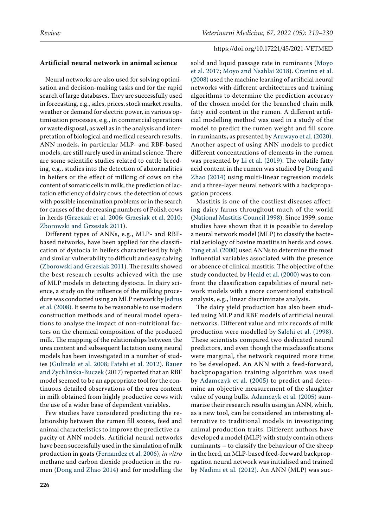# **Artificial neural network in animal science**

Neural networks are also used for solving optimisation and decision-making tasks and for the rapid search of large databases. They are successfully used in forecasting, e.g., sales, prices, stock market results, weather or demand for electric power, in various optimisation processes, e.g., in commercial operations or waste disposal, as well as in the analysis and interpretation of biological and medical research results. ANN models, in particular MLP- and RBF-based models, are still rarely used in animal science. There are some scientific studies related to cattle breeding, e.g., studies into the detection of abnormalities in heifers or the effect of milking of cows on the content of somatic cells in milk, the prediction of lactation efficiency of dairy cows, the detection of cows with possible insemination problems or in the search for causes of the decreasing numbers of Polish cows in herds ([Grzesiak et al. 2006;](#page-9-6) [Grzesiak et al. 2010](#page-9-12); [Zborowski and Grzesiak 2011\)](#page-11-2).

Different types of ANNs, e.g., MLP- and RBFbased networks, have been applied for the classification of dystocia in heifers characterised by high and similar vulnerability to difficult and easy calving [\(Zborowski and Grzesiak 2011](#page-11-2)). The results showed the best research results achieved with the use of MLP models in detecting dystocia. In dairy science, a study on the influence of the milking procedure was conducted using an MLP network by [Jedrus](#page-10-16)  [et al. \(2008\)](#page-10-16). It seems to be reasonable to use modern construction methods and of neural model operations to analyse the impact of non-nutritional factors on the chemical composition of the produced milk. The mapping of the relationships between the urea content and subsequent lactation using neural models has been investigated in a number of studies ([Gulinski et al. 2008](#page-9-13); [Fatehi et al. 2012\)](#page-9-14). [Bauer](#page-9-15)  [and Zychlinska-Buczek](#page-9-15) (2017) reported that an RBF model seemed to be an appropriate tool for the continuous detailed observations of the urea content in milk obtained from highly productive cows with the use of a wider base of dependent variables.

Few studies have considered predicting the relationship between the rumen fill scores, feed and animal characteristics to improve the predictive capacity of ANN models. Artificial neural networks have been successfully used in the simulation of milk production in goats ([Fernandez et al. 2006](#page-9-16)), *in vitro* methane and carbon dioxide production in the rumen ([Dong and Zhao 2014\)](#page-9-17) and for modelling the solid and liquid passage rate in ruminants [\(Moyo](#page-10-17) [et al. 2017;](#page-10-17) [Moyo and Nsahlai 2018](#page-10-18)). [Craninx et al.](#page-9-18) [\(2008\)](#page-9-18) used the machine learning of artificial neural networks with different architectures and training algorithms to determine the prediction accuracy of the chosen model for the branched chain milk fatty acid content in the rumen. A different artificial modelling method was used in a study of the model to predict the rumen weight and fill score in ruminants, as presented by [Aruwayo et al. \(2020\)](#page-9-19). Another aspect of using ANN models to predict different concentrations of elements in the rumen was presented by [Li et al. \(2019\).](#page-10-19) The volatile fatty acid content in the rumen was studied by [Dong and](#page-9-17) [Zhao \(2014\)](#page-9-17) using multi-linear regression models and a three-layer neural network with a backpropagation process.

Mastitis is one of the costliest diseases affecting dairy farms throughout much of the world [\(National Mastitis Council 1998](#page-10-20)). Since 1999, some studies have shown that it is possible to develop a neural network model (MLP) to classify the bacterial aetiology of bovine mastitis in herds and cows. [Yang et al. \(2000\)](#page-11-3) used ANNs to determine the most influential variables associated with the presence or absence of clinical mastitis. The objective of the study conducted by [Heald et al. \(2000\)](#page-10-21) was to confront the classification capabilities of neural network models with a more conventional statistical analysis, e.g., linear discriminate analysis.

The dairy yield production has also been studied using MLP and RBF models of artificial neural networks. Different value and mix records of milk production were modelled by [Salehi et al. \(1998\)](#page-10-22). These scientists compared two dedicated neural predictors, and even though the misclassifications were marginal, the network required more time to be developed. An ANN with a feed-forward, backpropagation training algorithm was used by [Adamczyk et al. \(2005\)](#page-9-20) to predict and determine an objective measurement of the slaughter value of young bulls. [Adamczyk et al. \(2005\)](#page-9-20) summarise their research results using an ANN, which, as a new tool, can be considered an interesting alternative to traditional models in investigating animal production traits. Different authors have developed a model (MLP) with study contain others ruminants – to classify the behaviour of the sheep in the herd, an MLP-based feed-forward backpropagation neural network was initialised and trained by [Nadimi et al. \(2012\)](#page-10-23). An ANN (MLP) was suc-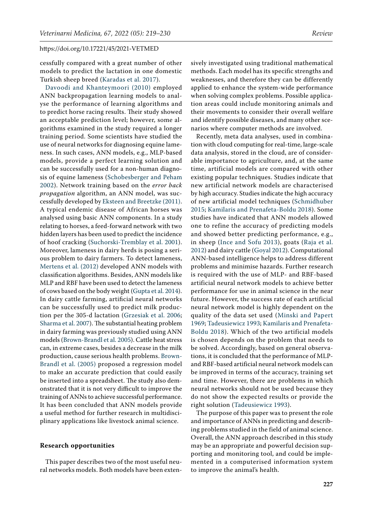cessfully compared with a great number of other models to predict the lactation in one domestic Turkish sheep breed ([Karadas et al. 2017\)](#page-10-24).

[Davoodi and Khanteymoori \(2010\)](#page-9-21) employed ANN backpropagation learning models to analyse the performance of learning algorithms and to predict horse racing results. Their study showed an acceptable prediction level; however, some algorithms examined in the study required a longer training period. Some scientists have studied the use of neural networks for diagnosing equine lameness. In such cases, ANN models, e.g., MLP-based models, provide a perfect learning solution and can be successfully used for a non-human diagnosis of equine lameness [\(Schobesberger and Peham](#page-10-25)  [2002](#page-10-25)). Network training based on the *error back propagation* algorithm, an ANN model, was successfully developed by [Eksteen and Breetzke \(2011\)](#page-9-22). A typical endemic disease of African horses was analysed using basic ANN components. In a study relating to horses, a feed-forward network with two hidden layers has been used to predict the incidence of hoof cracking [\(Suchorski-Tremblay et al. 2001\)](#page-11-4). Moreover, lameness in dairy herds is posing a serious problem to dairy farmers. To detect lameness, [Mertens et al. \(2012\)](#page-10-26) developed ANN models with classification algorithms. Besides, ANN models like MLP and RBF have been used to detect the lameness of cows based on the body weight [\(Gupta et al. 2014\)](#page-9-23). In dairy cattle farming, artificial neural networks can be successfully used to predict milk production per the 305-d lactation ([Grzesiak et al. 2006](#page-9-6); [Sharma et al. 2007\)](#page-11-5). The substantial heating problem in dairy farming was previously studied using ANN models ([Brown-Brandl et al. 2005\)](#page-9-24). Cattle heat stress can, in extreme cases, besides a decrease in the milk production, cause serious health problems. [Brown-](#page-9-24)[Brandl et al. \(2005\)](#page-9-24) proposed a regression model to make an accurate prediction that could easily be inserted into a spreadsheet. The study also demonstrated that it is not very difficult to improve the training of ANNs to achieve successful performance. It has been concluded that ANN models provide a useful method for further research in multidisciplinary applications like livestock animal science.

#### **Research opportunities**

This paper describes two of the most useful neural networks models. Both models have been exten-

sively investigated using traditional mathematical methods. Each model has its specific strengths and weaknesses, and therefore they can be differently applied to enhance the system-wide performance when solving complex problems. Possible application areas could include monitoring animals and their movements to consider their overall welfare and identify possible diseases, and many other scenarios where computer methods are involved.

Recently, meta data analyses, used in combination with cloud computing for real-time, large-scale data analysis, stored in the cloud, are of considerable importance to agriculture, and, at the same time, artificial models are compared with other existing popular techniques. Studies indicate that new artificial network models are characterised by high accuracy. Studies indicate the high accuracy of new artificial model techniques ([Schmidhuber](#page-11-6) [2015;](#page-11-6) [Kamilaris and Prenafeta-Boldu 2018](#page-10-27)). Some studies have indicated that ANN models allowed one to refine the accuracy of predicting models and showed better predicting performance, e.g., in sheep ([Ince and Sofu 2013](#page-10-28)), goats ([Raja et al.](#page-10-29) [2012](#page-10-29)) and dairy cattle ([Goyal 2012\)](#page-9-25). Computational ANN-based intelligence helps to address different problems and minimise hazards. Further research is required with the use of MLP- and RBF-based artificial neural network models to achieve better performance for use in animal science in the near future. However, the success rate of each artificial neural network model is highly dependent on the quality of the data set used ([Minski and Papert](#page-10-7) [1969;](#page-10-7) [Tadeusiewicz 1993](#page-11-0); [Kamilaris and Prenafeta-](#page-10-27)[Boldu 2018](#page-10-27)). Which of the two artificial models is chosen depends on the problem that needs to be solved. Accordingly, based on general observations, it is concluded that the performance of MLPand RBF-based artificial neural network models can be improved in terms of the accuracy, training set and time. However, there are problems in which neural networks should not be used because they do not show the expected results or provide the right solution ([Tadeusiewicz 1993\)](#page-11-0).

The purpose of this paper was to present the role and importance of ANNs in predicting and describing problems studied in the field of animal science. Overall, the ANN approach described in this study may be an appropriate and powerful decision supporting and monitoring tool, and could be implemented in a computerised information system to improve the animal's health.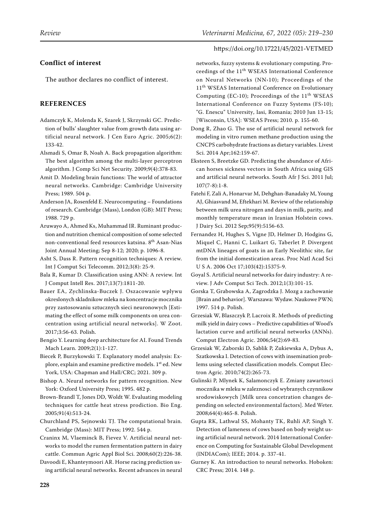The author declares no conflict of interest.

# **REFERENCES**

- <span id="page-9-20"></span>Adamczyk K, Molenda K, Szarek J, Skrzynski GC. Prediction of bulls' slaughter value from growth data using artificial neural network. J Cen Euro Agric. 2005;6(2): 133-42.
- <span id="page-9-11"></span>Alsmadi S, Omar B, Noah A. Back propagation algorithm: The best algorithm among the multi-layer perceptron algorithm. J Comp Sci Net Security. 2009;9(4):378-83.
- <span id="page-9-5"></span>Amit D. Modeling brain functions: The world of attractor neural networks. Cambridge: Cambridge University Press; 1989. 504 p.
- <span id="page-9-2"></span>Anderson JA, Rosenfeld E. Neurocomputing – Foundations of research. Cambridge (Mass), London (GB): MIT Press; 1988. 729 p.
- <span id="page-9-19"></span>Aruwayo A, Ahmed Ks, Muhammad IR. Ruminant production and nutrition chemical composition of some selected non-conventional feed resources katsina. 8th Asan-Nias Joint Annual Meeting; Sep 8-12; 2020; p. 1096-8.
- <span id="page-9-3"></span>Asht S, Dass R. Pattern recognition techniques: A review. Int J Comput Sci Telecomm. 2012;3(8): 25-9.
- <span id="page-9-9"></span>Bala R, Kumar D. Classification using ANN: A review. Int J Comput Intell Res. 2017;13(7):1811-20.
- <span id="page-9-15"></span>Bauer EA, Zychlinska-Buczek J. Oszacowanie wplywu okreslonych skladnikow mleka na koncentracje mocznika przy zastosowaniu sztucznych sieci neuronowych [Estimating the effect of some milk components on urea concentration using artificial neural networks]. W Zoot. 2017;3:56-63. Polish.
- <span id="page-9-10"></span>Bengio Y. Learning deep architecture for AI. Found Trends Mach Learn. 2009;2(1):1-127.
- <span id="page-9-1"></span>Biecek P, Burzykowski T. Explanatory model analysis: Explore, explain and examine predictive models. 1<sup>st</sup> ed. New York, USA: Chapman and Hall/CRC; 2021. 309 p.
- <span id="page-9-0"></span>Bishop A. Neural networks for pattern recognition. New York: Oxford University Press; 1995. 482 p.
- <span id="page-9-24"></span>Brown-Brandl T, Jones DD, Woldt W. Evaluating modeling techniques for cattle heat stress prodiction. Bio Eng. 2005;91(4):513-24.

<span id="page-9-8"></span>Churchland PS, Sejnowski TJ. The computational brain. Cambridge (Mass): MIT Press; 1992. 544 p.

<span id="page-9-18"></span>Craninx M, Vlaeminck B, Fievez V. Artificial neural networks to model the rumen fermentation pattern in dairy cattle. Commun Agric Appl Biol Sci. 2008;60(2):226-38.

<span id="page-9-21"></span>Davoodi E, Khanteymoori AR. Horse racing prediction using artificial neural networks. Recent advances in neural

# https://doi.org/10.17221/45/2021-VETMED

networks, fuzzy systems & evolutionary computing. Proceedings of the 11th WSEAS International Conference on Neural Networks (NN›10); Proceedings of the 11<sup>th</sup> WSEAS International Conference on Evolutionary Computing (EC>10); Proceedings of the  $11<sup>th</sup> WSEAS$ International Conference on Fuzzy Systems (FS›10); "G. Enescu" University, Iasi, Romania; 2010 Jun 13-15; [Wisconsin, USA]: WSEAS Press; 2010. p. 155-60.

- <span id="page-9-17"></span>Dong R, Zhao G. The use of artificial neural network for modeling in vitro rumen methane production using the CNCPS carbohydrate fractions as dietary variables. Livest Sci. 2014 Apr;162:159-67.
- <span id="page-9-22"></span>Eksteen S, Breetzke GD. Predicting the abundance of African horses sickness vectors in South Africa using GIS and artificial neural networks. South Afr J Sci. 2011 Jul; 107(7-8):1-8.
- <span id="page-9-14"></span>Fatehi F, Zali A, Honarvar M, Dehghan-Banadaky M, Young AJ, Ghiasvand M, Eftekhari M. Review of the relationship between milk urea nitrogen and days in milk, parity, and monthly temperature mean in Iranian Holstein cows. J Dairy Sci. 2012 Sep;95(9):5156-63.
- <span id="page-9-16"></span>Fernandez H, Hughes S, Vigne JD, Helmer D, Hodgins G, Miquel C, Hanni C, Luikart G, Taberlet P. Divergent mtDNA lineages of goats in an Early Neolithic site, far from the initial domestication areas. Proc Natl Acad Sci U S A. 2006 Oct 17;103(42):15375-9.
- <span id="page-9-25"></span>Goyal S. Artificial neural networks for dairy industry: A review. J Adv Comput Sci Tech. 2012;1(3):101-15.
- <span id="page-9-4"></span>Gorska T, Grabowska A, Zagrodzka J. Mozg a zachowanie [Brain and behavior]. Warszawa: Wydaw. Naukowe PWN; 1997. 514 p. Polish.
- <span id="page-9-6"></span>Grzesiak W, Blaszczyk P, Lacroix R. Methods of predicting milk yield in dairy cows – Predictive capabilities of Wood's lactation curve and artificial neural networks (ANNs). Comput Electron Agric. 2006;54(2):69-83.
- <span id="page-9-12"></span>Grzesiak W, Zaborski D, Sablik P, Zukiewska A, Dybus A, Szatkowska I. Detection of cows with insemination problems using selected classification models. Comput Electron Agric. 2010;74(2):265-73.
- <span id="page-9-13"></span>Gulinski P, Mlynek K, Salamonczyk E. Zmiany zawartosci mocznika w mleku w zaleznosci od wybranych czynnikow srodowiskowych [Milk urea concetration changes depending on selected environmental factors]. Med Weter. 2008;64(4):465-8. Polish.
- <span id="page-9-23"></span>Gupta RK, Lathwal SS, Mohanty TK, Ruhli AP, Singh Y. Detection of lameness of cows based on body weight using artificial neural network. 2014 International Conference on Computing for Sustainable Global Development (INDIACom); IEEE; 2014. p. 337-41.
- <span id="page-9-7"></span>Gurney K. An introduction to neural networks. Hoboken: CRC Press; 2014. 148 p.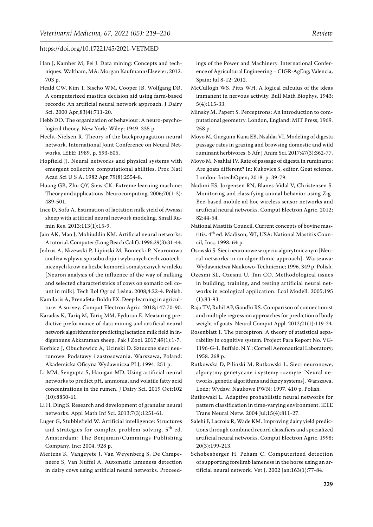- <span id="page-10-2"></span>Han J, Kamber M, Pei J. Data mining: Concepts and techniques. Waltham, MA: Morgan Kaufmann/Elsevier; 2012. 703 p.
- <span id="page-10-21"></span>Heald CW, Kim T, Sischo WM, Cooper JB, Wolfgang DR. A computerized mastitis decision aid using farm-based records: An artificial neural network approach. J Dairy Sci. 2000 Apr;83(4):711-20.
- <span id="page-10-11"></span>Hebb DO. The organization of behaviour: A neuro-psychological theory. New York: Wiley; 1949. 335 p.
- <span id="page-10-0"></span>Hecht-Nielsen R. Theory of the backpropagation neural network. International Joint Conference on Neural Networks. IEEE; 1989. p. 593-605.
- <span id="page-10-5"></span>Hopfield JJ. Neural networks and physical systems with emergent collective computational abilities. Proc Natl Acad Sci U S A. 1982 Apr;79(8):2554-8.
- <span id="page-10-13"></span>Huang GB, Zhu QY, Siew CK. Extreme learning machine: Theory and applications. Neurocomputing. 2006;70(1-3): 489-501.
- <span id="page-10-28"></span>Ince D, Sofu A. Estimation of lactation milk yield of Awassi sheep with artificial neural network modeling. Small Rumin Res. 2013;113(1):15-9.
- <span id="page-10-4"></span>Jain AK, Mao J, Mohiuddin KM. Artificial neural networks: A tutorial. Computer (Long Beach Calif). 1996;29(3):31-44.
- <span id="page-10-16"></span>Jedrus A, Nizewski P, Lipinski M, Boniecki P. Neuronowa analiza wplywu sposobu doju i wybranych cech zootechnicznych krow na liczbe komorek somatycznych w mleku [Neuron analysis of the influence of the way of milking and selected characteristsics of cows on somatic cell count in milk]. Tech Rol Ogrod Leśna. 2008;4:22-4. Polish.
- <span id="page-10-27"></span>Kamilaris A, Prenafeta-Boldu FX. Deep learning in agriculture: A survey. Comput Electron Agric. 2018;147:70-90.
- <span id="page-10-24"></span>Karadas K, Tariq M, Tariq MM, Eyduran E. Measuring predictive preformance of data mining and artificial neural network algorithms for predicting lactation milk field in indigenouns Akkaraman sheep. Pak J Zool. 2017;49(1):1-7.
- <span id="page-10-8"></span>Korbicz J, Obuchowicz A, Ucinski D. Sztuczne sieci neuronowe: Podstawy i zastosowania. Warszawa, Poland: Akademicka Oficyna Wydawnicza PLJ; 1994. 251 p.
- <span id="page-10-19"></span>Li MM, Sengupta S, Hanigan MD. Using artificial neural networks to predict pH, ammonia, and volatile fatty acid concentrations in the rumen. J Dairy Sci. 2019 Oct;102 (10):8850-61.
- <span id="page-10-10"></span>Li H, Ding S. Research and development of granular neural networks. Appl Math Inf Sci. 2013;7(3):1251-61.
- <span id="page-10-12"></span>Luger G, Stubblefield W. Artificial intelligence: Structures and strategies for complex problem solving.  $5<sup>th</sup>$  ed. Amsterdam: The Benjamin/Cummings Publishing Company, Inc; 2004. 928 p.
- <span id="page-10-26"></span>Mertens K, Vangeyete J, Van Weyenberg S, De Campeneere S, Van Nuffel A. Automatic lameness detection in dairy cows using artificial neural networks. Proceed-

ings of the Power and Machinery. International Conference of Agricultural Engineering – CIGR-AgEng; Valencia, Spain; Jul 8-12; 2012.

- <span id="page-10-3"></span>McCullogh WS, Pitts WH. A logical calculus of the ideas immanent in nervous activity. Bull Math Biophys. 1943; 5(4):115-33.
- <span id="page-10-7"></span>Minsky M, Papert S. Perceptrons: An introduction to computational geometry. London, England: MIT Press; 1969. 258 p.
- <span id="page-10-17"></span>Moyo M, Gueguim Kana EB, Nsahlai VI. Modeling of digesta passage rates in grazing and browsing domestic and wild ruminant herbivores. S Afr J Anim Sci. 2017;47(3):362-77.
- <span id="page-10-18"></span>Moyo M, Nsahlai IV. Rate of passage of digesta in ruminants; Are goats different? In: Kukovics S, editor. Goat science. London: IntechOpen; 2018. p. 39-79.
- <span id="page-10-23"></span>Nadimi ES, Jorgensen RN, Blanes-Vidal V, Christensen S. Monitoring and classifying animal behavior using Zig-Bee-based mobile ad hoc wireless sensor networks and artificial neural networks. Comput Electron Agric. 2012; 82:44-54.
- <span id="page-10-20"></span>National Mastitis Council. Current concepts of bovine mastitis. 4th ed. Madison, WI, USA: National Mastitis Council, Inc.; 1998. 64 p.
- <span id="page-10-14"></span>Osowski S. Sieci neuronowe w ujeciu algorytmicznym [Neural networks in an algorithmic approach]. Warszawa: Wydawnictwa Naukowo-Techniczne; 1996. 349 p. Polish.
- <span id="page-10-9"></span>Ozesmi SL, Ozesmi U, Tan CO. Methodological issues in building, training, and testing artificial neural networks in ecological application. Ecol Modell. 2005;195 (1):83-93.
- <span id="page-10-29"></span>Raja TV, Ruhil AP, Gandhi RS. Comparison of connectionist and multiple regression approaches for prediction of body weight of goats. Neural Comput Appl. 2012;21(1):119-24.
- <span id="page-10-6"></span>Rosenblatt F. The perceptron. A theory of statistical separability in cognitive system. Project Para Report No. VG-1196-G-1. Buffalo, N.Y.: Cornell Aeronautical Laboratory; 1958. 268 p.
- <span id="page-10-15"></span>Rutkowska D, Pilinski M, Rutkowski L. Sieci neuronowe, algorytmy genetyczne i systemy rozmyte [Neural networks, genetic algorithms and fuzzy systems]. Warszawa, Lodz: Wydaw. Naukowe PWN; 1997. 410 p. Polish.
- <span id="page-10-1"></span>Rutkowski L. Adaptive probabilistic neural networks for pattern classification in time-varying environment. IEEE Trans Neural Netw. 2004 Jul;15(4):811-27.
- <span id="page-10-22"></span>Salehi F, Lacroix R, Wade KM. Improving dairy yield predictions through combined record classifiers and specialized artificial neural networks. Comput Electron Agric. 1998; 20(3):199-213.
- <span id="page-10-25"></span>Schobesberger H, Peham C. Computerized detection of supporting forelimb lameness in the horse using an artificial neural network. Vet J. 2002 Jan;163(1):77-84.